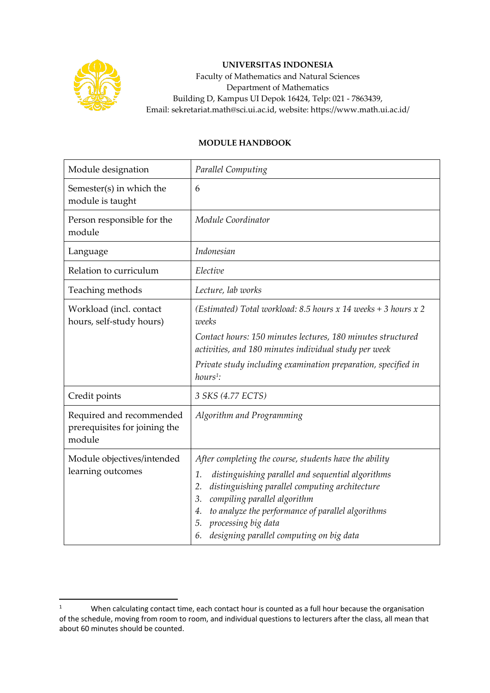

## **UNIVERSITAS INDONESIA**

Faculty of Mathematics and Natural Sciences Department of Mathematics Building D, Kampus UI Depok 16424, Telp: 021 - 7863439, Email: sekretariat.math@sci.ui.ac.id, website: https://www.math.ui.ac.id/

## **MODULE HANDBOOK**

| Module designation                                                  | Parallel Computing                                                                                                                                                                                                                                                                                                                                        |
|---------------------------------------------------------------------|-----------------------------------------------------------------------------------------------------------------------------------------------------------------------------------------------------------------------------------------------------------------------------------------------------------------------------------------------------------|
| Semester(s) in which the<br>module is taught                        | 6                                                                                                                                                                                                                                                                                                                                                         |
| Person responsible for the<br>module                                | Module Coordinator                                                                                                                                                                                                                                                                                                                                        |
| Language                                                            | Indonesian                                                                                                                                                                                                                                                                                                                                                |
| Relation to curriculum                                              | Elective                                                                                                                                                                                                                                                                                                                                                  |
| Teaching methods                                                    | Lecture, lab works                                                                                                                                                                                                                                                                                                                                        |
| Workload (incl. contact<br>hours, self-study hours)                 | (Estimated) Total workload: 8.5 hours x 14 weeks + 3 hours x 2<br>weeks                                                                                                                                                                                                                                                                                   |
|                                                                     | Contact hours: 150 minutes lectures, 180 minutes structured<br>activities, and 180 minutes individual study per week                                                                                                                                                                                                                                      |
|                                                                     | Private study including examination preparation, specified in<br>$hours1$ :                                                                                                                                                                                                                                                                               |
| Credit points                                                       | 3 SKS (4.77 ECTS)                                                                                                                                                                                                                                                                                                                                         |
| Required and recommended<br>prerequisites for joining the<br>module | Algorithm and Programming                                                                                                                                                                                                                                                                                                                                 |
| Module objectives/intended<br>learning outcomes                     | After completing the course, students have the ability<br>distinguishing parallel and sequential algorithms<br>1.<br>distinguishing parallel computing architecture<br>2.<br>compiling parallel algorithm<br>3.<br>to analyze the performance of parallel algorithms<br>4.<br>processing big data<br>5.<br>designing parallel computing on big data<br>6. |

<sup>&</sup>lt;sup>1</sup> When calculating contact time, each contact hour is counted as a full hour because the organisation of the schedule, moving from room to room, and individual questions to lecturers after the class, all mean that about 60 minutes should be counted.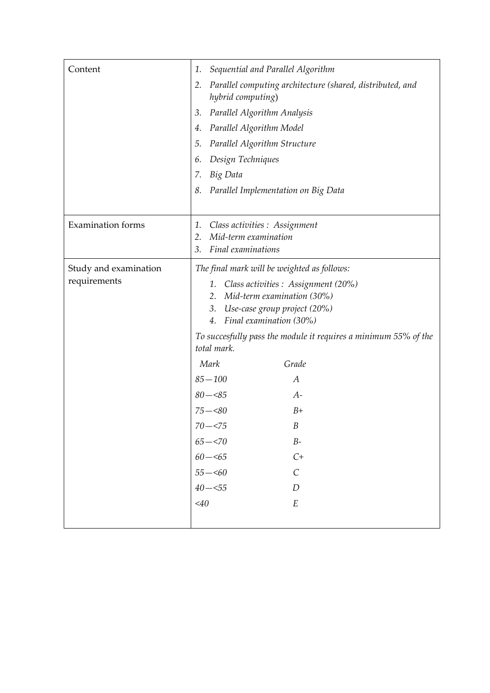| Content                               | Sequential and Parallel Algorithm<br>1.<br>Parallel computing architecture (shared, distributed, and<br>2.<br>hybrid computing)<br>Parallel Algorithm Analysis<br>3.<br>Parallel Algorithm Model<br>4.<br>Parallel Algorithm Structure<br>5.<br>Design Techniques<br>6.<br>Big Data<br>7.                                                                                                                                                                                                                                    |
|---------------------------------------|------------------------------------------------------------------------------------------------------------------------------------------------------------------------------------------------------------------------------------------------------------------------------------------------------------------------------------------------------------------------------------------------------------------------------------------------------------------------------------------------------------------------------|
|                                       | Parallel Implementation on Big Data<br>8.                                                                                                                                                                                                                                                                                                                                                                                                                                                                                    |
| <b>Examination</b> forms              | Class activities : Assignment<br>1.<br>Mid-term examination<br>2.<br>Final examinations<br>3.                                                                                                                                                                                                                                                                                                                                                                                                                                |
| Study and examination<br>requirements | The final mark will be weighted as follows:<br>Class activities : Assignment (20%)<br>1.<br>Mid-term examination (30%)<br>2.<br>3. Use-case group project (20%)<br>Final examination (30%)<br>4.<br>To succesfully pass the module it requires a minimum 55% of the<br>total mark.<br>Mark<br>Grade<br>$85 - 100$<br>A<br>$80 - 85$<br>$A-$<br>$75 - < 80$<br>$B+$<br>B<br>$70 - 575$<br>$65 - 570$<br>$B-$<br>$C+$<br>$60 - 5$<br>$55 - 60$<br>$\mathcal{C}_{0}^{0}$<br>$40 - 55$<br>$\boldsymbol{D}$<br>$<$ 40<br>$\cal E$ |